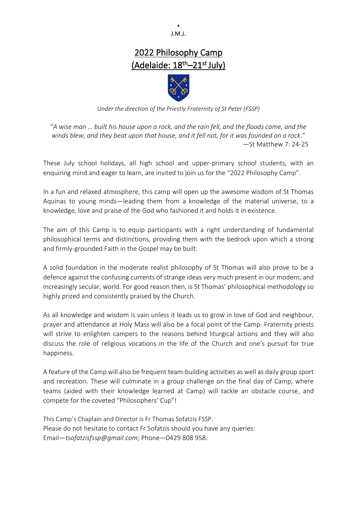+ J.M.J.

# 2022 Philosophy Camp (Adelaide: 18<sup>th</sup>–21<sup>st</sup> July)



*Under the direction of the Priestly Fraternity of St Peter (FSSP)*

"*A wise man … built his house upon a rock, and the rain fell, and the floods came, and the winds blew, and they beat upon that house, and it fell not, for it was founded on a rock*." —St Matthew 7: 24-25

These July school holidays, all high school and upper-primary school students, with an enquiring mind and eager to learn, are invited to join us for the "2022 Philosophy Camp".

In a fun and relaxed atmosphere, this camp will open up the awesome wisdom of St Thomas Aquinas to young minds—leading them from a knowledge of the material universe, to a knowledge, love and praise of the God who fashioned it and holds it in existence.

The aim of this Camp is to equip participants with a right understanding of fundamental philosophical terms and distinctions, providing them with the bedrock upon which a strong and firmly-grounded Faith in the Gospel may be built.

A solid foundation in the moderate realist philosophy of St Thomas will also prove to be a defence against the confusing currents of strange ideas very much present in our modern, and increasingly secular, world. For good reason then, is St Thomas' philosophical methodology so highly prized and consistently praised by the Church.

As all knowledge and wisdom is vain unless it leads us to grow in love of God and neighbour, prayer and attendance at Holy Mass will also be a focal point of the Camp. Fraternity priests will strive to enlighten campers to the reasons behind liturgical actions and they will also discuss the role of religious vocations in the life of the Church and one's pursuit for true happiness.

A feature of the Camp will also be frequent team-building activities as well as daily group sport and recreation. These will culminate in a group challenge on the final day of Camp, where teams (aided with their knowledge learned at Camp) will tackle an obstacle course, and compete for the coveted "Philosophers' Cup"!

This Camp's Chaplain and Director is Fr Thomas Sofatzis FSSP. Please do not hesitate to contact Fr Sofatzis should you have any queries: Email—*tsofatzisfssp@gmail.com*; Phone—0429 808 958.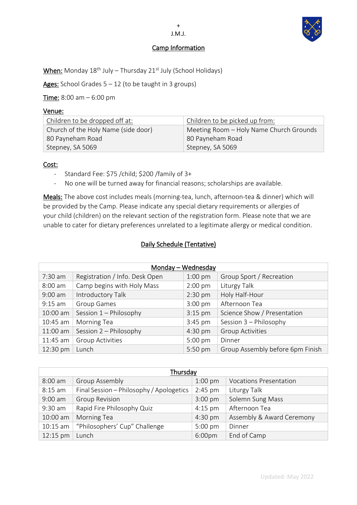

## Camp Information

+ J.M.J.

When: Monday 18<sup>th</sup> July – Thursday 21<sup>st</sup> July (School Holidays)

Ages: School Grades  $5 - 12$  (to be taught in 3 groups)

Time: 8:00 am - 6:00 pm

### Venue:

| Children to be dropped off at:      | Children to be picked up from:          |
|-------------------------------------|-----------------------------------------|
| Church of the Holy Name (side door) | Meeting Room - Holy Name Church Grounds |
| 80 Payneham Road                    | 80 Payneham Road                        |
| Stepney, SA 5069                    | Stepney, SA 5069                        |

### Cost:

- Standard Fee: \$75 /child; \$200 /family of 3+
- No one will be turned away for financial reasons; scholarships are available.

Meals: The above cost includes meals (morning-tea, lunch, afternoon-tea & dinner) which will be provided by the Camp. Please indicate any special dietary requirements or allergies of your child (children) on the relevant section of the registration form. Please note that we are unable to cater for dietary preferences unrelated to a legitimate allergy or medical condition.

## Daily Schedule (Tentative)

| Monday - Wednesday |                                |           |                                  |
|--------------------|--------------------------------|-----------|----------------------------------|
| $7:30$ am          | Registration / Info. Desk Open | $1:00$ pm | Group Sport / Recreation         |
| $8:00$ am          | Camp begins with Holy Mass     | $2:00$ pm | Liturgy Talk                     |
| $9:00$ am          | Introductory Talk              | $2:30$ pm | Holy Half-Hour                   |
| $9:15$ am          | <b>Group Games</b>             | $3:00$ pm | Afternoon Tea                    |
| 10:00 am           | Session 1 - Philosophy         | $3:15$ pm | Science Show / Presentation      |
| 10:45 am           | Morning Tea                    | $3:45$ pm | Session 3 - Philosophy           |
| 11:00 am           | Session 2 - Philosophy         | $4:30$ pm | <b>Group Activities</b>          |
| 11:45 am           | Group Activities               | $5:00$ pm | Dinner                           |
| 12:30 pm           | Lunch                          | 5:50 pm   | Group Assembly before 6pm Finish |

| Thursday   |                                          |                    |                               |
|------------|------------------------------------------|--------------------|-------------------------------|
| $8:00$ am  | <b>Group Assembly</b>                    | $1:00$ pm          | <b>Vocations Presentation</b> |
| $8:15$ am  | Final Session - Philosophy / Apologetics | $2:45$ pm          | Liturgy Talk                  |
| $9:00$ am  | <b>Group Revision</b>                    | $3:00$ pm          | Solemn Sung Mass              |
| 9:30 am    | Rapid Fire Philosophy Quiz               | $4:15$ pm          | Afternoon Tea                 |
| 10:00 am   | Morning Tea                              | $4:30$ pm          | Assembly & Award Ceremony     |
| $10:15$ am | "Philosophers' Cup" Challenge            | 5:00 pm            | Dinner                        |
| 12:15 pm   | Lunch                                    | 6:00 <sub>pm</sub> | End of Camp                   |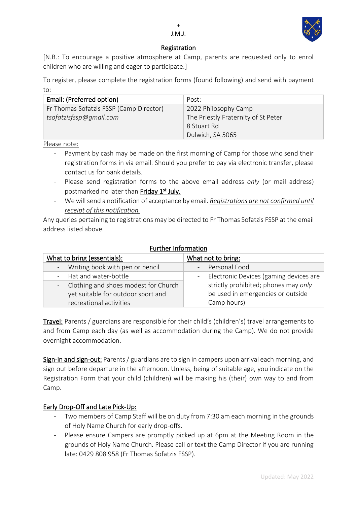

+

[N.B.: To encourage a positive atmosphere at Camp, parents are requested only to enrol children who are willing and eager to participate.]

To register, please complete the registration forms (found following) and send with payment to:

| Email: (Preferred option)               | Post:                               |  |
|-----------------------------------------|-------------------------------------|--|
| Fr Thomas Sofatzis FSSP (Camp Director) | 2022 Philosophy Camp                |  |
| tsofatzisfssp@gmail.com                 | The Priestly Fraternity of St Peter |  |
|                                         | 8 Stuart Rd                         |  |
|                                         | Dulwich, SA 5065                    |  |

Please note:

- Payment by cash may be made on the first morning of Camp for those who send their registration forms in via email. Should you prefer to pay via electronic transfer, please contact us for bank details.
- Please send registration forms to the above email address *only* (or mail address) postmarked no later than Friday 1st July.
- We will send a notification of acceptance by email. *Registrations are not confirmed until receipt of this notification.*

Any queries pertaining to registrations may be directed to Fr Thomas Sofatzis FSSP at the email address listed above.

| rururer mommation                      |                                          |  |  |
|----------------------------------------|------------------------------------------|--|--|
| What to bring (essentials):            | What not to bring:                       |  |  |
| Writing book with pen or pencil        | - Personal Food                          |  |  |
| - Hat and water-bottle                 | - Electronic Devices (gaming devices are |  |  |
| - Clothing and shoes modest for Church | strictly prohibited; phones may only     |  |  |
| yet suitable for outdoor sport and     | be used in emergencies or outside        |  |  |
| recreational activities                | Camp hours)                              |  |  |

### Further Information

Travel: Parents / guardians are responsible for their child's (children's) travel arrangements to and from Camp each day (as well as accommodation during the Camp). We do not provide overnight accommodation.

Sign-in and sign-out: Parents / guardians are to sign in campers upon arrival each morning, and sign out before departure in the afternoon. Unless, being of suitable age, you indicate on the Registration Form that your child (children) will be making his (their) own way to and from Camp.

## Early Drop-Off and Late Pick-Up:

- Two members of Camp Staff will be on duty from 7:30 am each morning in the grounds of Holy Name Church for early drop-offs.
- Please ensure Campers are promptly picked up at 6pm at the Meeting Room in the grounds of Holy Name Church. Please call or text the Camp Director if you are running late: 0429 808 958 (Fr Thomas Sofatzis FSSP).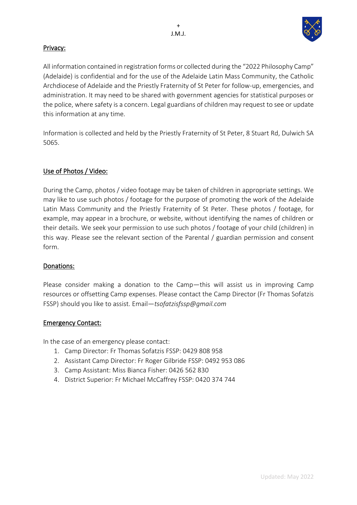

## Privacy:

All information contained in registration forms or collected during the "2022 Philosophy Camp" (Adelaide) is confidential and for the use of the Adelaide Latin Mass Community, the Catholic Archdiocese of Adelaide and the Priestly Fraternity of St Peter for follow-up, emergencies, and administration. It may need to be shared with government agencies for statistical purposes or the police, where safety is a concern. Legal guardians of children may request to see or update this information at any time.

Information is collected and held by the Priestly Fraternity of St Peter, 8 Stuart Rd, Dulwich SA 5065.

## Use of Photos / Video:

During the Camp, photos / video footage may be taken of children in appropriate settings. We may like to use such photos / footage for the purpose of promoting the work of the Adelaide Latin Mass Community and the Priestly Fraternity of St Peter. These photos / footage, for example, may appear in a brochure, or website, without identifying the names of children or their details. We seek your permission to use such photos / footage of your child (children) in this way. Please see the relevant section of the Parental / guardian permission and consent form.

## Donations:

Please consider making a donation to the Camp―this will assist us in improving Camp resources or offsetting Camp expenses. Please contact the Camp Director (Fr Thomas Sofatzis FSSP) should you like to assist. Email―*tsofatzisfssp@gmail.com*

## Emergency Contact:

In the case of an emergency please contact:

- 1. Camp Director: Fr Thomas Sofatzis FSSP: 0429 808 958
- 2. Assistant Camp Director: Fr Roger Gilbride FSSP: 0492 953 086
- 3. Camp Assistant: Miss Bianca Fisher: 0426 562 830
- 4. District Superior: Fr Michael McCaffrey FSSP: 0420 374 744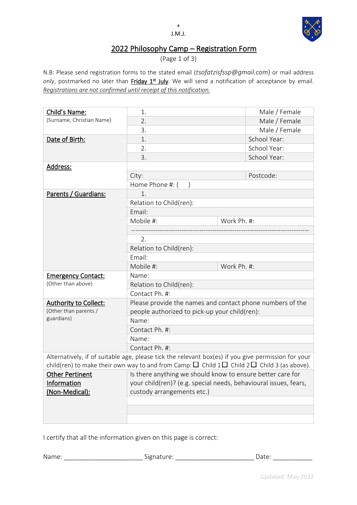

# 2022 Philosophy Camp – Registration Form

(Page 1 of 3)

N.B: Please send registration forms to the stated email (*tsofatzisfssp@gmail.com*) or mail address only, postmarked no later than *Friday 1<sup>st</sup> July*. We will send a notification of acceptance by email. *Registrations are not confirmed until receipt of this notification.*

| Child's Name:                | 1.                                                                                                                                                                                                               |             | Male / Female |  |
|------------------------------|------------------------------------------------------------------------------------------------------------------------------------------------------------------------------------------------------------------|-------------|---------------|--|
| (Surname, Christian Name)    | 2.                                                                                                                                                                                                               |             | Male / Female |  |
|                              | 3.                                                                                                                                                                                                               |             | Male / Female |  |
| Date of Birth:               | 1.                                                                                                                                                                                                               |             | School Year:  |  |
|                              | 2.                                                                                                                                                                                                               |             | School Year:  |  |
|                              | 3.                                                                                                                                                                                                               |             | School Year:  |  |
| Address:                     |                                                                                                                                                                                                                  |             |               |  |
|                              | City:                                                                                                                                                                                                            |             | Postcode:     |  |
|                              | Home Phone #: (                                                                                                                                                                                                  |             |               |  |
| Parents / Guardians:         | 1.                                                                                                                                                                                                               |             |               |  |
|                              | Relation to Child(ren):                                                                                                                                                                                          |             |               |  |
|                              | Email:                                                                                                                                                                                                           |             |               |  |
|                              | Mobile #:                                                                                                                                                                                                        | Work Ph. #: |               |  |
|                              |                                                                                                                                                                                                                  |             |               |  |
|                              | 2.                                                                                                                                                                                                               |             |               |  |
|                              | Relation to Child(ren):                                                                                                                                                                                          |             |               |  |
|                              | Email:                                                                                                                                                                                                           |             |               |  |
|                              | Mobile #:                                                                                                                                                                                                        | Work Ph. #: |               |  |
| <b>Emergency Contact:</b>    | Name:                                                                                                                                                                                                            |             |               |  |
| (Other than above)           | Relation to Child(ren):                                                                                                                                                                                          |             |               |  |
|                              | Contact Ph. #:                                                                                                                                                                                                   |             |               |  |
| <b>Authority to Collect:</b> | Please provide the names and contact phone numbers of the                                                                                                                                                        |             |               |  |
| (Other than parents /        | people authorized to pick-up your child(ren):                                                                                                                                                                    |             |               |  |
| guardians)                   | Name:                                                                                                                                                                                                            |             |               |  |
|                              | Contact Ph. #:                                                                                                                                                                                                   |             |               |  |
|                              | Name:                                                                                                                                                                                                            |             |               |  |
|                              | Contact Ph. #:                                                                                                                                                                                                   |             |               |  |
|                              | Alternatively, if of suitable age, please tick the relevant box(es) if you give permission for your<br>child(ren) to make their own way to and from Camp: $\Box$ Child $1\Box$ Child $2\Box$ Child 3 (as above). |             |               |  |
| Other Pertinent              |                                                                                                                                                                                                                  |             |               |  |
| Information                  | Is there anything we should know to ensure better care for<br>your child(ren)? (e.g. special needs, behavioural issues, fears,                                                                                   |             |               |  |
| (Non-Medical):               | custody arrangements etc.)                                                                                                                                                                                       |             |               |  |
|                              |                                                                                                                                                                                                                  |             |               |  |
|                              |                                                                                                                                                                                                                  |             |               |  |
|                              |                                                                                                                                                                                                                  |             |               |  |
|                              |                                                                                                                                                                                                                  |             |               |  |

I certify that all the information given on this page is correct:

Name: \_\_\_\_\_\_\_\_\_\_\_\_\_\_\_\_\_\_\_\_\_\_\_\_\_\_\_\_\_\_\_\_Signature: \_\_\_\_\_\_\_\_\_\_\_\_\_\_\_\_\_\_\_\_\_\_\_\_\_\_\_\_\_\_\_\_\_\_Date: \_\_\_\_\_\_\_\_\_\_\_\_\_\_\_\_\_\_\_\_\_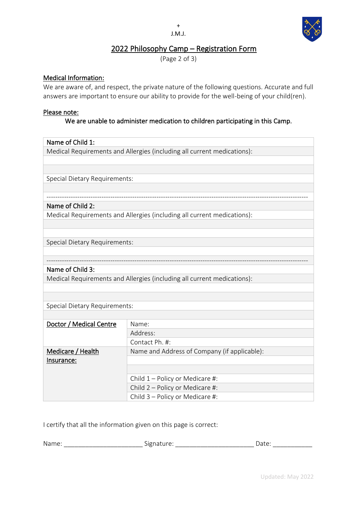#### + J.M.J.



## 2022 Philosophy Camp – Registration Form

(Page 2 of 3)

## Medical Information:

We are aware of, and respect, the private nature of the following questions. Accurate and full answers are important to ensure our ability to provide for the well-being of your child(ren).

### Please note:

## We are unable to administer medication to children participating in this Camp.

### Name of Child 1:

Medical Requirements and Allergies (including all current medications):

Special Dietary Requirements:

### ----------------------------------------------------------------------------------------------------------------------- Name of Child 2:

Medical Requirements and Allergies (including all current medications):

Special Dietary Requirements:

## Name of Child 3:

Medical Requirements and Allergies (including all current medications):

Special Dietary Requirements:

| Doctor / Medical Centre | Name:                                        |
|-------------------------|----------------------------------------------|
|                         | Address:                                     |
|                         | Contact Ph. #:                               |
| Medicare / Health       | Name and Address of Company (if applicable): |
| Insurance:              |                                              |
|                         |                                              |
|                         | Child $1$ – Policy or Medicare #:            |
|                         | Child 2 - Policy or Medicare #:              |
|                         | Child 3 - Policy or Medicare #:              |

-----------------------------------------------------------------------------------------------------------------------

I certify that all the information given on this page is correct:

| Nam<br>$\sim$ | $\sim$<br>$  -$<br>שור<br>$\mathbf{H}$<br>$\overline{\phantom{a}}$<br>. .<br>- | alt. |
|---------------|--------------------------------------------------------------------------------|------|
|               |                                                                                |      |